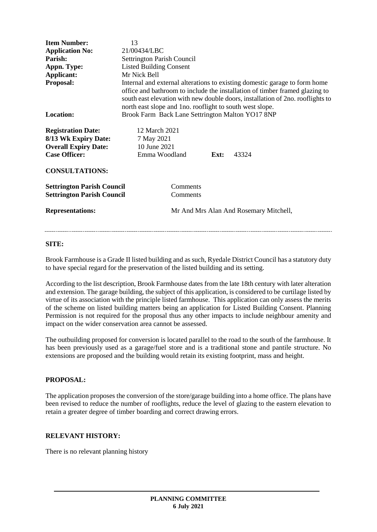| <b>Item Number:</b>               | 13                                                                                                                                                                                                                                                                                                       |
|-----------------------------------|----------------------------------------------------------------------------------------------------------------------------------------------------------------------------------------------------------------------------------------------------------------------------------------------------------|
| <b>Application No:</b>            | 21/00434/LBC                                                                                                                                                                                                                                                                                             |
| Parish:                           | Settrington Parish Council                                                                                                                                                                                                                                                                               |
| Appn. Type:                       | <b>Listed Building Consent</b>                                                                                                                                                                                                                                                                           |
| Applicant:                        | Mr Nick Bell                                                                                                                                                                                                                                                                                             |
| <b>Proposal:</b>                  | Internal and external alterations to existing domestic garage to form home<br>office and bathroom to include the installation of timber framed glazing to<br>south east elevation with new double doors, installation of 2no. rooflights to<br>north east slope and 1 no. rooflight to south west slope. |
| <b>Location:</b>                  | Brook Farm Back Lane Settrington Malton YO17 8NP                                                                                                                                                                                                                                                         |
| <b>Registration Date:</b>         | 12 March 2021                                                                                                                                                                                                                                                                                            |
| 8/13 Wk Expiry Date:              | 7 May 2021                                                                                                                                                                                                                                                                                               |
| <b>Overall Expiry Date:</b>       | 10 June 2021                                                                                                                                                                                                                                                                                             |
| <b>Case Officer:</b>              | Emma Woodland<br>43324<br>Ext:                                                                                                                                                                                                                                                                           |
| <b>CONSULTATIONS:</b>             |                                                                                                                                                                                                                                                                                                          |
| <b>Settrington Parish Council</b> | Comments                                                                                                                                                                                                                                                                                                 |
| <b>Settrington Parish Council</b> | Comments                                                                                                                                                                                                                                                                                                 |
| <b>Representations:</b>           | Mr And Mrs Alan And Rosemary Mitchell,                                                                                                                                                                                                                                                                   |
|                                   |                                                                                                                                                                                                                                                                                                          |

## **SITE:**

Brook Farmhouse is a Grade II listed building and as such, Ryedale District Council has a statutory duty to have special regard for the preservation of the listed building and its setting.

According to the list description, Brook Farmhouse dates from the late 18th century with later alteration and extension. The garage building, the subject of this application, is considered to be curtilage listed by virtue of its association with the principle listed farmhouse. This application can only assess the merits of the scheme on listed building matters being an application for Listed Building Consent. Planning Permission is not required for the proposal thus any other impacts to include neighbour amenity and impact on the wider conservation area cannot be assessed.

The outbuilding proposed for conversion is located parallel to the road to the south of the farmhouse. It has been previously used as a garage/fuel store and is a traditional stone and pantile structure. No extensions are proposed and the building would retain its existing footprint, mass and height.

## **PROPOSAL:**

The application proposes the conversion of the store/garage building into a home office. The plans have been revised to reduce the number of rooflights, reduce the level of glazing to the eastern elevation to retain a greater degree of timber boarding and correct drawing errors.

## **RELEVANT HISTORY:**

There is no relevant planning history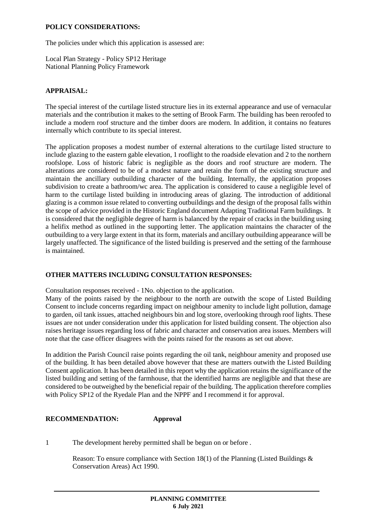## **POLICY CONSIDERATIONS:**

The policies under which this application is assessed are:

Local Plan Strategy - Policy SP12 Heritage National Planning Policy Framework

## **APPRAISAL:**

The special interest of the curtilage listed structure lies in its external appearance and use of vernacular materials and the contribution it makes to the setting of Brook Farm. The building has been reroofed to include a modern roof structure and the timber doors are modern. In addition, it contains no features internally which contribute to its special interest.

The application proposes a modest number of external alterations to the curtilage listed structure to include glazing to the eastern gable elevation, 1 rooflight to the roadside elevation and 2 to the northern roofslope. Loss of historic fabric is negligible as the doors and roof structure are modern. The alterations are considered to be of a modest nature and retain the form of the existing structure and maintain the ancillary outbuilding character of the building. Internally, the application proposes subdivision to create a bathroom/wc area. The application is considered to cause a negligible level of harm to the curtilage listed building in introducing areas of glazing. The introduction of additional glazing is a common issue related to converting outbuildings and the design of the proposal falls within the scope of advice provided in the Historic England document Adapting Traditional Farm buildings. It is considered that the negligible degree of harm is balanced by the repair of cracks in the building using a helifix method as outlined in the supporting letter. The application maintains the character of the outbuilding to a very large extent in that its form, materials and ancillary outbuilding appearance will be largely unaffected. The significance of the listed building is preserved and the setting of the farmhouse is maintained.

## **OTHER MATTERS INCLUDING CONSULTATION RESPONSES:**

Consultation responses received - 1No. objection to the application.

Many of the points raised by the neighbour to the north are outwith the scope of Listed Building Consent to include concerns regarding impact on neighbour amenity to include light pollution, damage to garden, oil tank issues, attached neighbours bin and log store, overlooking through roof lights. These issues are not under consideration under this application for listed building consent. The objection also raises heritage issues regarding loss of fabric and character and conservation area issues. Members will note that the case officer disagrees with the points raised for the reasons as set out above.

In addition the Parish Council raise points regarding the oil tank, neighbour amenity and proposed use of the building. It has been detailed above however that these are matters outwith the Listed Building Consent application. It has been detailed in this report why the application retains the significance of the listed building and setting of the farmhouse, that the identified harms are negligible and that these are considered to be outweighed by the beneficial repair of the building. The application therefore complies with Policy SP12 of the Ryedale Plan and the NPPF and I recommend it for approval.

# **RECOMMENDATION: Approval**

1 The development hereby permitted shall be begun on or before .

Reason: To ensure compliance with Section 18(1) of the Planning (Listed Buildings  $\&$ Conservation Areas) Act 1990.